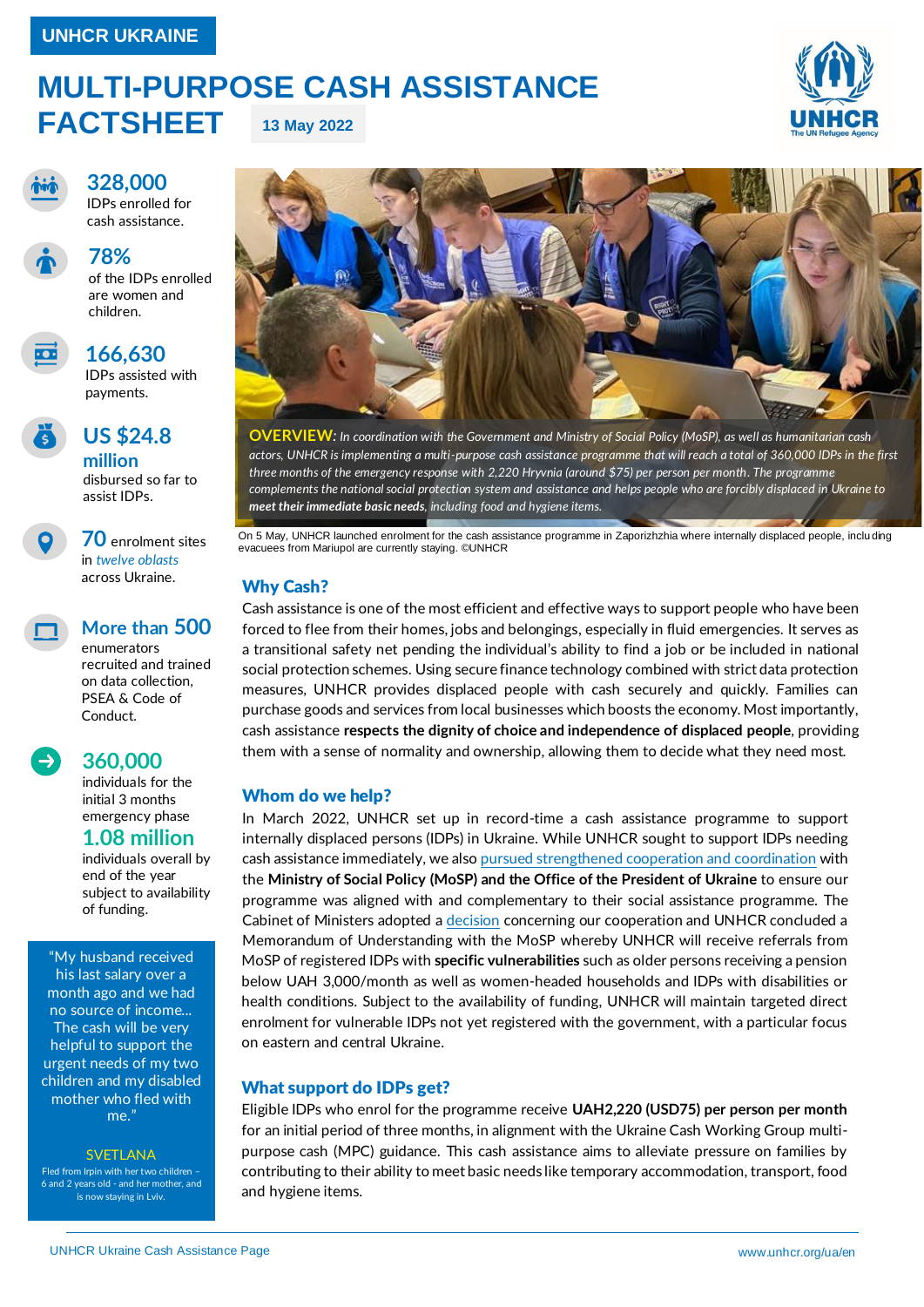### **MULTI-PURPOSE CASH ASSISTANCE FACTSHEET 13 May 2022**



IDPs enrolled for cash assistance.

**328,000**



## **78%**

of the IDPs enrolled are women and children.



### **166,630**

IDPs assisted with payments.



### **US \$24.8**

**million** disbursed so far to assist IDPs.

**70** enrolment sites in *twelve oblasts* across Ukraine.



### **More than 500**

enumerators recruited and trained on data collection, PSEA & Code of Conduct.



#### **360,000** individuals for the

initial 3 months emergency phase

### **1.08 million**

individuals overall by end of the year subject to availability of funding.

"My husband received his last salary over a month ago and we had no source of income... The cash will be very helpful to support the urgent needs of my two children and my disabled mother who fled with me.'

#### **SVETLANA**

Fled from Irpin with her two children – nd 2 years old - and her mother, and is now staying in Lviv.



**OVERVIEW***: In coordination with the Government and Ministry of Social Policy (MoSP), as well as humanitarian cash actors, UNHCR is implementing a multi-purpose cash assistance programme that will reach a total of 360,000 IDPs in the first three months of the emergency response with 2,220 Hryvnia (around \$75) per person per month. The programme complements the national social protection system and assistance and helps people who are forcibly displaced in Ukraine to meet their immediate basic needs, including food and hygiene items.*

On 5 May, UNHCR launched enrolment for the cash assistance programme in Zaporizhzhia where internally displaced people, inclu ding evacuees from Mariupol are currently staying. ©UNHCR

#### Why Cash?

Cash assistance is one of the most efficient and effective ways to support people who have been forced to flee from their homes, jobs and belongings, especially in fluid emergencies. It serves as a transitional safety net pending the individual's ability to find a job or be included in national social protection schemes. Using secure finance technology combined with strict data protection measures, UNHCR provides displaced people with cash securely and quickly. Families can purchase goods and services from local businesses which boosts the economy. Most importantly, cash assistance **respects the dignity of choice and independence of displaced people**, providing them with a sense of normality and ownership, allowing them to decide what they need most.

#### Whom do we help?

In March 2022, UNHCR set up in record-time a cash assistance programme to support internally displaced persons (IDPs) in Ukraine. While UNHCR sought to support IDPs needing cash assistance immediately, we also pursued [strengthened cooperation and coordination](https://www.unhcr.org/ua/en/44051-minister-of-social-policy-of-ukraine-and-unhcr-ukraine-representative-sign-agreement-to-expand-displaced-persons-access-to-social-protection-including-cash-assistance.html) with the **Ministry of Social Policy (MoSP) and the Office of the President of Ukraine** to ensure our programme was aligned with and complementary to their social assistance programme. The Cabinet of Ministers adopted [a decision](https://www.kmu.gov.ua/en/news/uryad-razom-iz-oon-viplachuvatimut-po-2200-grn-vrazlivim-kategoriyam-pereselenciv-denis-shmigal) concerning our cooperation and UNHCR concluded a Memorandum of Understanding with the MoSP whereby UNHCR will receive referrals from MoSP of registered IDPs with **specific vulnerabilities** such as older persons receiving a pension below UAH 3,000/month as well as women-headed households and IDPs with disabilities or health conditions. Subject to the availability of funding, UNHCR will maintain targeted direct enrolment for vulnerable IDPs not yet registered with the government, with a particular focus on eastern and central Ukraine.

#### What support do IDPs get?

Eligible IDPs who enrol for the programme receive **UAH2,220 (USD75) per person per month** for an initial period of three months, in alignment with the Ukraine Cash Working Group multipurpose cash (MPC) guidance. This cash assistance aims to alleviate pressure on families by contributing to their ability to meet basic needs like temporary accommodation, transport, food and hygiene items.